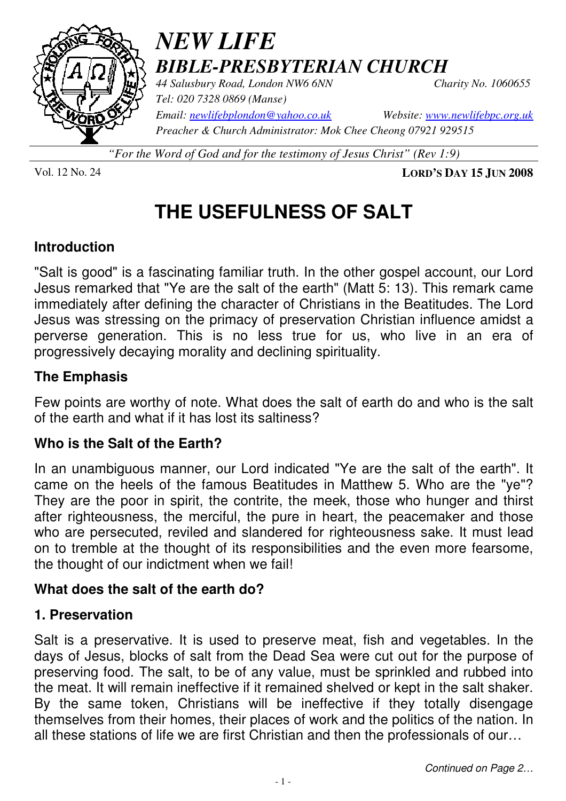

## *NEW LIFE BIBLE-PRESBYTERIAN CHURCH*

*44 Salusbury Road, London NW6 6NN Charity No. 1060655 Tel: 020 7328 0869 (Manse)* 

*Email: newlifebplondon@yahoo.co.uk Website: www.newlifebpc.org.uk Preacher & Church Administrator: Mok Chee Cheong 07921 929515* 

*"For the Word of God and for the testimony of Jesus Christ" (Rev 1:9)*

Vol. 12 No. 24 **LORD'S DAY 15 JUN 2008**

## **THE USEFULNESS OF SALT**

#### **Introduction**

"Salt is good" is a fascinating familiar truth. In the other gospel account, our Lord Jesus remarked that "Ye are the salt of the earth" (Matt 5: 13). This remark came immediately after defining the character of Christians in the Beatitudes. The Lord Jesus was stressing on the primacy of preservation Christian influence amidst a perverse generation. This is no less true for us, who live in an era of progressively decaying morality and declining spirituality.

#### **The Emphasis**

Few points are worthy of note. What does the salt of earth do and who is the salt of the earth and what if it has lost its saltiness?

#### **Who is the Salt of the Earth?**

In an unambiguous manner, our Lord indicated "Ye are the salt of the earth". It came on the heels of the famous Beatitudes in Matthew 5. Who are the "ye"? They are the poor in spirit, the contrite, the meek, those who hunger and thirst after righteousness, the merciful, the pure in heart, the peacemaker and those who are persecuted, reviled and slandered for righteousness sake. It must lead on to tremble at the thought of its responsibilities and the even more fearsome, the thought of our indictment when we fail!

#### **What does the salt of the earth do?**

#### **1. Preservation**

Salt is a preservative. It is used to preserve meat, fish and vegetables. In the days of Jesus, blocks of salt from the Dead Sea were cut out for the purpose of preserving food. The salt, to be of any value, must be sprinkled and rubbed into the meat. It will remain ineffective if it remained shelved or kept in the salt shaker. By the same token, Christians will be ineffective if they totally disengage themselves from their homes, their places of work and the politics of the nation. In all these stations of life we are first Christian and then the professionals of our…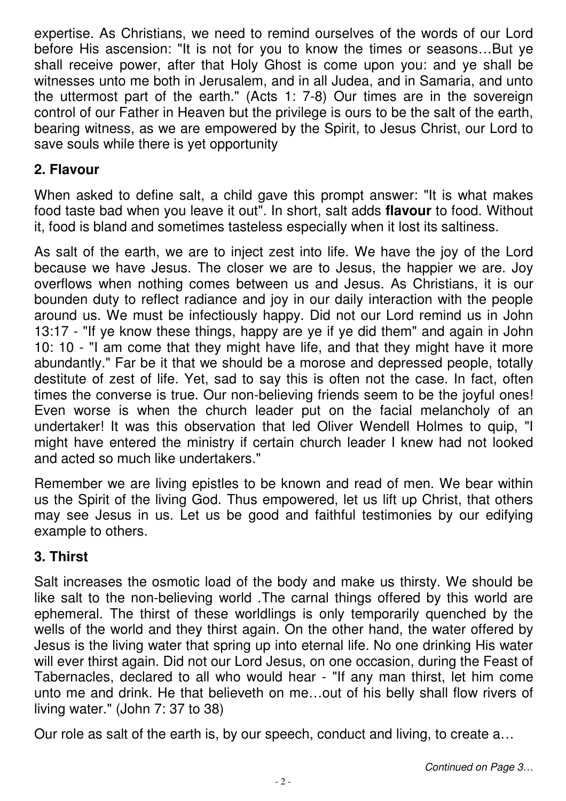expertise. As Christians, we need to remind ourselves of the words of our Lord before His ascension: "It is not for you to know the times or seasons…But ye shall receive power, after that Holy Ghost is come upon you: and ye shall be witnesses unto me both in Jerusalem, and in all Judea, and in Samaria, and unto the uttermost part of the earth." (Acts 1: 7-8) Our times are in the sovereign control of our Father in Heaven but the privilege is ours to be the salt of the earth, bearing witness, as we are empowered by the Spirit, to Jesus Christ, our Lord to save souls while there is yet opportunity

#### **2. Flavour**

When asked to define salt, a child gave this prompt answer: "It is what makes food taste bad when you leave it out". In short, salt adds **flavour** to food. Without it, food is bland and sometimes tasteless especially when it lost its saltiness.

As salt of the earth, we are to inject zest into life. We have the joy of the Lord because we have Jesus. The closer we are to Jesus, the happier we are. Joy overflows when nothing comes between us and Jesus. As Christians, it is our bounden duty to reflect radiance and joy in our daily interaction with the people around us. We must be infectiously happy. Did not our Lord remind us in John 13:17 - "If ye know these things, happy are ye if ye did them" and again in John 10: 10 - "I am come that they might have life, and that they might have it more abundantly." Far be it that we should be a morose and depressed people, totally destitute of zest of life. Yet, sad to say this is often not the case. In fact, often times the converse is true. Our non-believing friends seem to be the joyful ones! Even worse is when the church leader put on the facial melancholy of an undertaker! It was this observation that led Oliver Wendell Holmes to quip, "I might have entered the ministry if certain church leader I knew had not looked and acted so much like undertakers."

Remember we are living epistles to be known and read of men. We bear within us the Spirit of the living God. Thus empowered, let us lift up Christ, that others may see Jesus in us. Let us be good and faithful testimonies by our edifying example to others.

#### **3. Thirst**

Salt increases the osmotic load of the body and make us thirsty. We should be like salt to the non-believing world .The carnal things offered by this world are ephemeral. The thirst of these worldlings is only temporarily quenched by the wells of the world and they thirst again. On the other hand, the water offered by Jesus is the living water that spring up into eternal life. No one drinking His water will ever thirst again. Did not our Lord Jesus, on one occasion, during the Feast of Tabernacles, declared to all who would hear - "If any man thirst, let him come unto me and drink. He that believeth on me…out of his belly shall flow rivers of living water." (John 7: 37 to 38)

Our role as salt of the earth is, by our speech, conduct and living, to create a…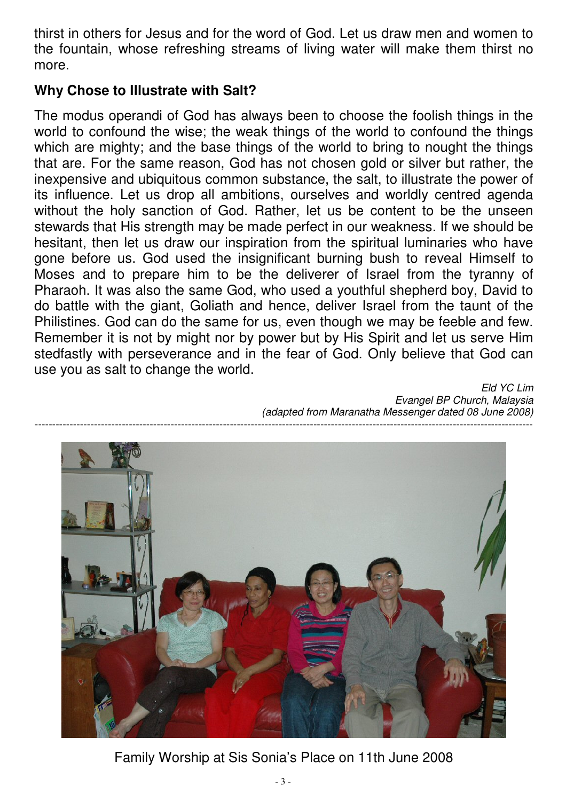thirst in others for Jesus and for the word of God. Let us draw men and women to the fountain, whose refreshing streams of living water will make them thirst no more.

#### **Why Chose to Illustrate with Salt?**

The modus operandi of God has always been to choose the foolish things in the world to confound the wise; the weak things of the world to confound the things which are mighty; and the base things of the world to bring to nought the things that are. For the same reason, God has not chosen gold or silver but rather, the inexpensive and ubiquitous common substance, the salt, to illustrate the power of its influence. Let us drop all ambitions, ourselves and worldly centred agenda without the holy sanction of God. Rather, let us be content to be the unseen stewards that His strength may be made perfect in our weakness. If we should be hesitant, then let us draw our inspiration from the spiritual luminaries who have gone before us. God used the insignificant burning bush to reveal Himself to Moses and to prepare him to be the deliverer of Israel from the tyranny of Pharaoh. It was also the same God, who used a youthful shepherd boy, David to do battle with the giant, Goliath and hence, deliver Israel from the taunt of the Philistines. God can do the same for us, even though we may be feeble and few. Remember it is not by might nor by power but by His Spirit and let us serve Him stedfastly with perseverance and in the fear of God. Only believe that God can use you as salt to change the world.

> Eld YC Lim Evangel BP Church, Malaysia (adapted from Maranatha Messenger dated 08 June 2008)



Family Worship at Sis Sonia's Place on 11th June 2008